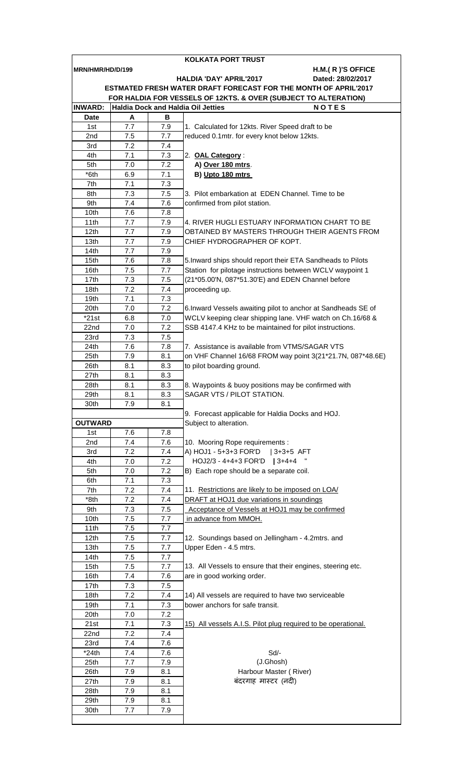|                                                                                                              |            |            | KOLKATA PORT TRUST                                                                              |  |  |  |
|--------------------------------------------------------------------------------------------------------------|------------|------------|-------------------------------------------------------------------------------------------------|--|--|--|
| MRN/HMR/HD/D/199                                                                                             |            |            | H.M.(R)'S OFFICE                                                                                |  |  |  |
|                                                                                                              |            |            | <b>HALDIA 'DAY' APRIL'2017</b><br>Dated: 28/02/2017                                             |  |  |  |
|                                                                                                              |            |            | ESTMATED FRESH WATER DRAFT FORECAST FOR THE MONTH OF APRIL'2017                                 |  |  |  |
| FOR HALDIA FOR VESSELS OF 12KTS. & OVER (SUBJECT TO ALTERATION)<br><b>Haldia Dock and Haldia Oil Jetties</b> |            |            |                                                                                                 |  |  |  |
| <b>INWARD:</b>                                                                                               |            |            | <b>NOTES</b>                                                                                    |  |  |  |
| <b>Date</b>                                                                                                  | A<br>7.7   | в          |                                                                                                 |  |  |  |
| 1st<br>2nd                                                                                                   | 7.5        | 7.9<br>7.7 | 1. Calculated for 12kts. River Speed draft to be<br>reduced 0.1mtr. for every knot below 12kts. |  |  |  |
| 3rd                                                                                                          | 7.2        | 7.4        |                                                                                                 |  |  |  |
| 4th                                                                                                          | 7.1        | 7.3        | 2. OAL Category:                                                                                |  |  |  |
| 5th                                                                                                          | 7.0        | 7.2        | A) Over 180 mtrs.                                                                               |  |  |  |
| *6th                                                                                                         | 6.9        | 7.1        | B) Upto 180 mtrs                                                                                |  |  |  |
| 7th                                                                                                          | 7.1        | 7.3        |                                                                                                 |  |  |  |
| 8th                                                                                                          | 7.3        | 7.5        | 3. Pilot embarkation at EDEN Channel. Time to be                                                |  |  |  |
| 9th                                                                                                          | 7.4        | 7.6        | confirmed from pilot station.                                                                   |  |  |  |
| 10th                                                                                                         | 7.6        | 7.8        |                                                                                                 |  |  |  |
| 11th                                                                                                         | 7.7        | 7.9        | 4. RIVER HUGLI ESTUARY INFORMATION CHART TO BE                                                  |  |  |  |
| 12 <sub>th</sub>                                                                                             | 7.7        | 7.9        | OBTAINED BY MASTERS THROUGH THEIR AGENTS FROM                                                   |  |  |  |
| 13th                                                                                                         | 7.7        | 7.9        | CHIEF HYDROGRAPHER OF KOPT.                                                                     |  |  |  |
| 14th                                                                                                         | 7.7        | 7.9        |                                                                                                 |  |  |  |
| 15th                                                                                                         | 7.6        | 7.8        | 5. Inward ships should report their ETA Sandheads to Pilots                                     |  |  |  |
| 16th                                                                                                         | 7.5        | 7.7        | Station for pilotage instructions between WCLV waypoint 1                                       |  |  |  |
| 17th                                                                                                         | 7.3        | 7.5        | (21*05.00'N, 087*51.30'E) and EDEN Channel before                                               |  |  |  |
| 18th                                                                                                         | 7.2        | 7.4        | proceeding up.                                                                                  |  |  |  |
| 19th                                                                                                         | 7.1        | 7.3        |                                                                                                 |  |  |  |
| 20th                                                                                                         | 7.0        | 7.2        | 6. Inward Vessels awaiting pilot to anchor at Sandheads SE of                                   |  |  |  |
| $*21st$                                                                                                      | 6.8        | 7.0        | WCLV keeping clear shipping lane. VHF watch on Ch.16/68 &                                       |  |  |  |
| 22nd                                                                                                         | 7.0        | 7.2        | SSB 4147.4 KHz to be maintained for pilot instructions.                                         |  |  |  |
| 23rd                                                                                                         | 7.3        | 7.5        |                                                                                                 |  |  |  |
| 24th                                                                                                         | 7.6        | 7.8        | 7. Assistance is available from VTMS/SAGAR VTS                                                  |  |  |  |
| 25th                                                                                                         | 7.9        | 8.1        | on VHF Channel 16/68 FROM way point 3(21*21.7N, 087*48.6E)                                      |  |  |  |
| 26th                                                                                                         | 8.1        | 8.3        | to pilot boarding ground.                                                                       |  |  |  |
| 27th                                                                                                         | 8.1        | 8.3        |                                                                                                 |  |  |  |
| 28th                                                                                                         | 8.1        | 8.3        | 8. Waypoints & buoy positions may be confirmed with                                             |  |  |  |
| 29th                                                                                                         | 8.1        | 8.3        | SAGAR VTS / PILOT STATION.                                                                      |  |  |  |
| 30th                                                                                                         | 7.9        | 8.1        |                                                                                                 |  |  |  |
| <b>OUTWARD</b>                                                                                               |            |            | 9. Forecast applicable for Haldia Docks and HOJ.<br>Subject to alteration.                      |  |  |  |
| 1st                                                                                                          | 7.6        | 7.8        |                                                                                                 |  |  |  |
| 2nd                                                                                                          | 7.4        | 7.6        | 10. Mooring Rope requirements :                                                                 |  |  |  |
| 3rd                                                                                                          | 7.2        | 7.4        | A) HOJ1 - 5+3+3 FOR'D<br>$ 3+3+5$ AFT                                                           |  |  |  |
| 4th                                                                                                          | 7.0        | 7.2        | HOJ2/3 - 4+4+3 FOR'D   3+4+4                                                                    |  |  |  |
| 5th                                                                                                          | 7.0        | 7.2        | B) Each rope should be a separate coil.                                                         |  |  |  |
| 6th                                                                                                          | 7.1        | 7.3        |                                                                                                 |  |  |  |
| 7th                                                                                                          | 7.2        | 7.4        | 11. Restrictions are likely to be imposed on LOA/                                               |  |  |  |
| *8th                                                                                                         | 7.2        | 7.4        | DRAFT at HOJ1 due variations in soundings                                                       |  |  |  |
| 9th                                                                                                          | 7.3        | 7.5        | Acceptance of Vessels at HOJ1 may be confirmed                                                  |  |  |  |
| 10th                                                                                                         | 7.5        | 7.7        | in advance from MMOH.                                                                           |  |  |  |
| 11th                                                                                                         | 7.5        | 7.7        |                                                                                                 |  |  |  |
| 12 <sub>th</sub>                                                                                             | 7.5        | 7.7        | 12. Soundings based on Jellingham - 4.2mtrs. and                                                |  |  |  |
| 13th                                                                                                         | 7.5        | 7.7        | Upper Eden - 4.5 mtrs.                                                                          |  |  |  |
| 14th                                                                                                         | $7.5\,$    | 7.7        |                                                                                                 |  |  |  |
| 15th                                                                                                         | 7.5        | 7.7        | 13. All Vessels to ensure that their engines, steering etc.                                     |  |  |  |
| 16th                                                                                                         | 7.4        | 7.6        | are in good working order.                                                                      |  |  |  |
| 17th                                                                                                         | 7.3        | 7.5        |                                                                                                 |  |  |  |
| 18th                                                                                                         | 7.2        | 7.4        | 14) All vessels are required to have two serviceable                                            |  |  |  |
| 19th                                                                                                         | 7.1        | 7.3        | bower anchors for safe transit.                                                                 |  |  |  |
| 20th                                                                                                         | 7.0        | 7.2        |                                                                                                 |  |  |  |
| 21st                                                                                                         | 7.1        | 7.3        | 15) All vessels A.I.S. Pilot plug required to be operational.                                   |  |  |  |
| 22nd                                                                                                         | 7.2        | 7.4        |                                                                                                 |  |  |  |
| 23rd                                                                                                         | 7.4        | 7.6        |                                                                                                 |  |  |  |
| $*24th$                                                                                                      | 7.4<br>7.7 | 7.6<br>7.9 | Sd/-<br>(J.Ghosh)                                                                               |  |  |  |
| 25th                                                                                                         |            |            |                                                                                                 |  |  |  |
| 26th<br>27th                                                                                                 | 7.9<br>7.9 | 8.1<br>8.1 | Harbour Master (River)<br>बंदरगाह मास्टर (नदी)                                                  |  |  |  |
| 28th                                                                                                         | 7.9        | 8.1        |                                                                                                 |  |  |  |
| 29th                                                                                                         | 7.9        | 8.1        |                                                                                                 |  |  |  |
| 30th                                                                                                         | 7.7        | 7.9        |                                                                                                 |  |  |  |
|                                                                                                              |            |            |                                                                                                 |  |  |  |